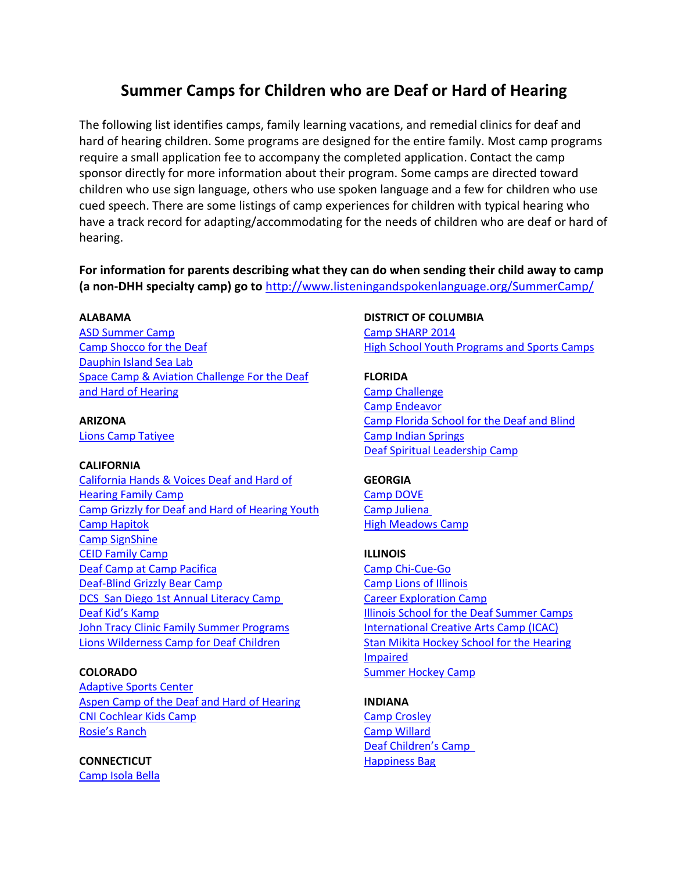# **Summer Camps for Children who are Deaf or Hard of Hearing**

The following list identifies camps, family learning vacations, and remedial clinics for deaf and hard of hearing children. Some programs are designed for the entire family. Most camp programs require a small application fee to accompany the completed application. Contact the camp sponsor directly for more information about their program. Some camps are directed toward children who use sign language, others who use spoken language and a few for children who use cued speech. There are some listings of camp experiences for children with typical hearing who have a track record for adapting/accommodating for the needs of children who are deaf or hard of hearing.

**For information for parents describing what they can do when sending their child away to camp (a non-DHH specialty camp) go to** <http://www.listeningandspokenlanguage.org/SummerCamp/>

#### **ALABAMA**

[ASD Summer Camp](http://www.aidb.org/) [Camp Shocco for the Deaf](http://www.campshocco.org/) [Dauphin Island Sea Lab](http://dhp.disl.org/studentopps.htm) [Space Camp & Aviation Challenge For the Deaf](http://www.spacecamp.com/specialprograms)  [and Hard of Hearing](http://www.spacecamp.com/specialprograms)

**ARIZONA** [Lions Camp Tatiyee](http://www.arizonalionscamp.org/)

#### **CALIFORNIA**

[California Hands & Voices Deaf and Hard of](file:///C:/Users/Karen%20L%20Anderson/Downloads/California%20Hands%20&%20Voices%20Deaf%20and%20Hard-of-Hearing%20Family%20Camp)  [Hearing Family Camp](file:///C:/Users/Karen%20L%20Anderson/Downloads/California%20Hands%20&%20Voices%20Deaf%20and%20Hard-of-Hearing%20Family%20Camp) [Camp Grizzly for Deaf and Hard of Hearing Youth](http://www.norcalcenter.org/?page=otherprograms&other_page=campgrizzly) [Camp Hapitok](http://camphapitok.com/) [Camp SignShine](http://beta.active.com/roseville-ca/running/camp-signshine-and-camp-grizzly-5k-and-10k-runwalk-2013) [CEID Family Camp](http://ceidfamilycamp.webs.com/) [Deaf Camp at Camp Pacifica](http://www.legrand.k12.ca.us/lionsclub/camp.htm) [Deaf-Blind Grizzly Bear Camp](http://www.db-gbc.org/#%21info/cjg9) DCS San Diego [1st Annual Literacy Camp](http://www.deafcommunityservices.org/literacy-camp/) [Deaf Kid's Kamp](http://deafhhs.org/?s=kids+kamp+2015) **[John Tracy Clinic Family Summer Programs](http://www.jtc.org/services/summer-sessions)** [Lions Wilderness Camp for Deaf Children](http://www.lionswildcamp.org/)

#### **COLORADO**

[Adaptive Sports Center](http://www.adaptivesports.org/) [Aspen Camp of the Deaf and Hard of Hearing](http://www.aspencamp.org/) [CNI Cochlear Kids Camp](http://www.thecni.org/features/by-condition-2/hearing-disorders/cochlear-kids-camp/) [Rosie's Ranch](www.rosiesranch.com)

**CONNECTICUT** [Camp Isola Bella](http://www.asd-1817.org/page.cfm?p=478)

#### **DISTRICT OF COLUMBIA**

[Camp SHARP 2014](http://www.gallaudet.edu/hsc/sps-children/camp_sharp_2014.html) [High School Youth Programs and Sports Camps](http://www.gallaudet.edu/summer_programs/youth_programs.html)

#### **FLORIDA**

[Camp Challenge](http://www.fl.easterseals.com/) [Camp Endeavor](http://www.sertomacampendeavor.net/) [Camp Florida School for the Deaf and Blind](http://www.fsdb.k12.fl.us/) [Camp Indian Springs](http://campindiansprings.com/) [Deaf Spiritual Leadership Camp](http://www.dslcamp.com/)

#### **GEORGIA**

[Camp DOVE](http://campdove.org/) [Camp Juliena](http://gachi.org/community-education-and-outreach/camp-juliena/) [High Meadows Camp](http://www.highmeadowscamp.org/)

#### **ILLINOIS**

[Camp Chi-Cue-Go](https://ilhandsandvoices.files.wordpress.com/2014/06/cue-camp-2014-flyer-and-agenda.pdf) [Camp Lions of Illinois](http://www.lionsofillinoisfoundation.org/) [Career Exploration Camp](http://www.morgan.k12.il.us/ISD/) [Illinois School for the Deaf Summer Camps](http://www.illinoisdeaf.org/Outreach/ISDOutreach.htm?tab=1#TabbedPanels) [International Creative Arts Camp \(ICAC\)](http://icodaarts.com/programs/ICAC.html) [Stan Mikita Hockey School for the Hearing](http://www.ahiha.org/)  [Impaired](http://www.ahiha.org/) [Summer Hockey Camp](http://www.ahiha.org/)

## **INDIANA**

[Camp Crosley](http://www.campcrosley.org/) [Camp Willard](http://www.deafhoosiers.com/studentlife/campwillard.asp) [Deaf Children's Camp](http://www.indeafcamps.org/) [Happiness Bag](http://www.happinessbag.org/)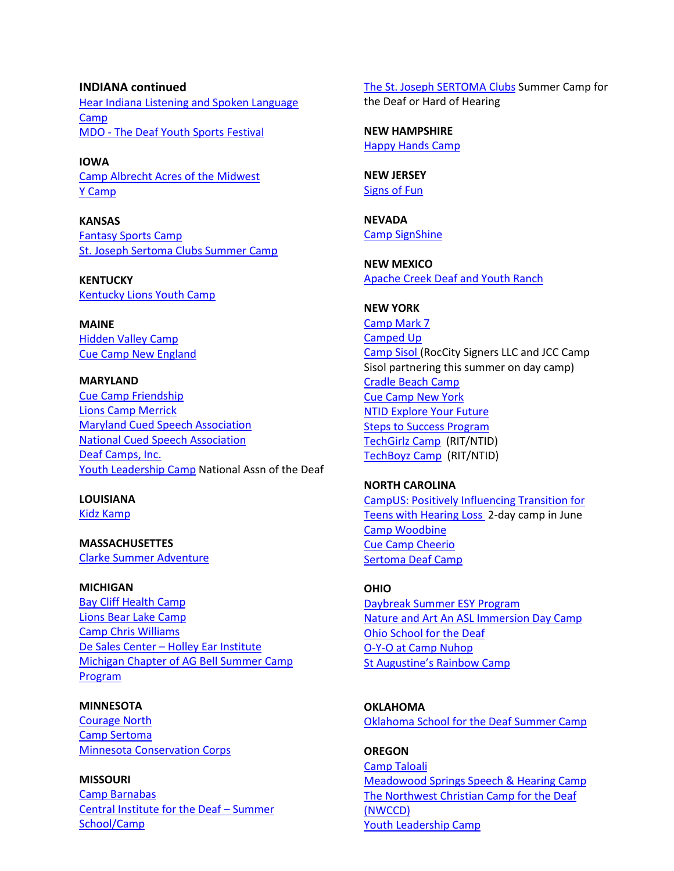**INDIANA continued** [Hear Indiana Listening and Spoken Language](http://www.hearindiana.org/camp)  [Camp](http://www.hearindiana.org/camp) MDO - [The Deaf Youth Sports Festival](http://www.mdoyouth.org/index.html)

**IOWA** Camp Albrecht Acres of the [Midwest](http://www.albrechtacres.org/) Y [Camp](http://www.y-camp.org/)

**KANSAS** [Fantasy Sports Camp](http://www.johnsoncountysertoma.com/index.htm) [St. Joseph Sertoma Clubs Summer Camp](http://www.sertomadeafcamp.org/)

**KENTUCKY** [Kentucky Lions Youth Camp](http://www.lccky.org/)

**MAINE** [Hidden](http://www.hiddenvalleycamp.com/) Valley Camp Cue Camp New [England](http://www.cuedspeechmaine.org/)

**MARYLAND** Cue Camp [Friendship](http://www.marylandcues.org/) [Lions Camp Merrick](http://www.lionscampmerrick.org/) [Maryland Cued Speech Association](http://www.marylandcues.org/) [National Cued Speech Association](http://www.marylandcues.org/) [Deaf Camps, Inc.](http://www.deafcampsinc.org/) Youth [Leadership](http://www.nad.org/youthleadershipcamp) Camp National Assn of the Deaf

## **LOUISIANA**

[Kidz Kamp](http://www.ileead.org/)

**MASSACHUSETTES** [Clarke Summer Adventure](http://www.clarkeschools.org/programs-and-schools/summer-programs)

**MICHIGAN** Bay Cliff [Health](http://www.baycliff.org/site/home.html) Camp Lions Bear Lake [Camp](http://www.bearlakecamp.org/) [Camp Chris Williams](http://www.madhh.org/) De Sales Center – [Holley Ear Institute](http://www.stjohn.org/Holley/) [Michigan](http://www.miagbell.org/wp/summer-camp-details) Chapter of AG Bell Summer Camp [Program](http://www.miagbell.org/wp/summer-camp-details)

**MINNESOTA** [Courage North](http://www.couragecenter.org/ContentPages/camphomepage.aspx) [Camp Sertoma](http://www.campsertoma.com/) [Minnesota Conservation Corps](http://www.campsertoma.com/)

**MISSOURI** [Camp Barnabas](http://www.campbarnabas.org/) Central Institute for the Deaf – [Summer](http://www.cid.edu/summer-school/) [School/Camp](http://www.cid.edu/summer-school/)

The St. Joseph [SERTOMA](http://www.sertomadeafcamp.org/) Clubs Summer Camp for the Deaf or Hard of Hearing

**NEW HAMPSHIRE** [Happy Hands Camp](http://www.gcsssd.org/apps/pages/index.jsp?uREC_ID=27725&type=d&termREC_ID=&pREC_ID=359179)

**NEW JERSEY** [Signs of Fun](http://signsoffun.org/)

**NEVADA** [Camp SignShine](http://www.dhharc.org/)

**NEW MEXICO** [Apache Creek Deaf and Youth Ranch](http://www.apachecreek.us/)

**NEW YORK** [Camp Mark 7](http://www.campmark7.org/) [Camped Up](http://www.campedup.com/) [Camp Sisol](http://www.jccrochester.org/camp-sisol) (RocCity Signers LLC and JCC Camp Sisol partnering this summer on day camp) [Cradle Beach Camp](http://www.campedup.com/) [Cue Camp New York](http://www.cuedspeech.org/pdfs/camp_CCNY2012_brochure.pdf) [NTID Explore Your Future](http://www.rit.edu/NTID/EYF) Steps [to Success Program](http://www.ntid.rit.edu/prospective/steps/) [TechGirlz Camp](http://www.rit.edu/ntid/techgirlz/) (RIT/NTID) [TechBoyz](http://www.ntid.rit.edu/camps/techboyz) Camp (RIT/NTID)

**NORTH CAROLINA** [CampUS: Positively Influencing Transition for](https://www.facebook.com/campUS.teens.HL/)  [Teens with Hearing Loss](https://www.facebook.com/campUS.teens.HL/) 2-day camp in June [Camp Woodbine](http://www.campwoodbine.com/) Cue Camp [Cheerio](http://springcampcheerio.org/) [Sertoma Deaf Camp](http://www.campsertoma.org/deaf_camp.html)

### **OHIO** [Daybreak Summer ESY Program](https://www.facebook.com/JustLikeHomeLlc/) [Nature and Art An ASL Immersion Day Camp](http://www.srsdeaf.org/Downloads/ASL%20Deaf%20Camp%202013%20(2).pdf) [Ohio School for the Deaf](http://www.srsdeaf.org/Downloads/ASL%20Deaf%20Camp%202013%20(2).pdf) [O-Y-O at Camp Nuhop](http://www.adv4kids.com/adv4kids/Home.html) [St Augustine's Rainbow Camp](http://www.staugustine-west14.org/rainbow_camp.cfm)

**OKLAHOMA** [Oklahoma School for the Deaf Summer Camp](http://www.osd.k12.ok.us/dhac/)

**OREGON** [Camp Taloali](http://taloali.org/) [Meadowood Springs Speech & Hearing Camp](http://www.meadowoodsprings.org/) [The Northwest Christian Camp for the Deaf](http://www.gmdeaf.org/)  [\(NWCCD\)](http://www.gmdeaf.org/) [Youth Leadership Camp](http://nad.org/youthleadershipcamp)